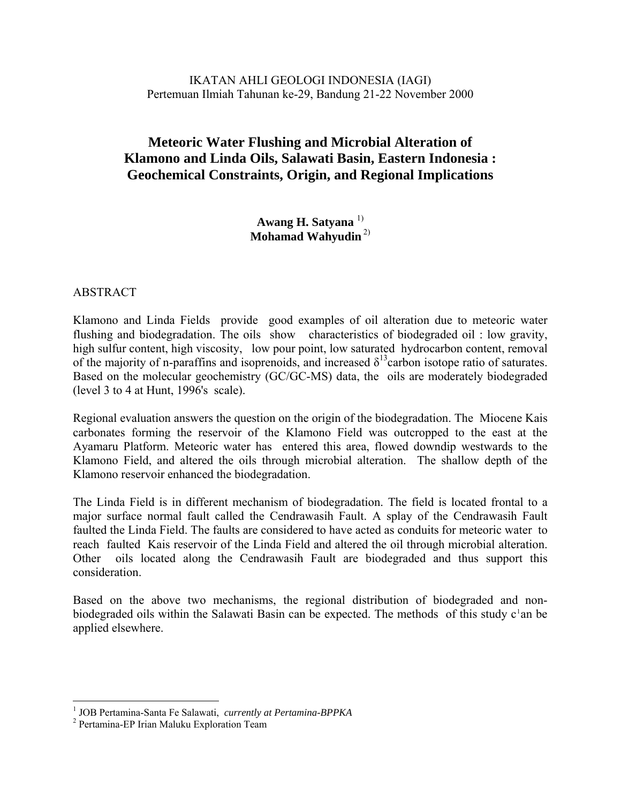IKATAN AHLI GEOLOGI INDONESIA (IAGI) Pertemuan Ilmiah Tahunan ke-29, Bandung 21-22 November 2000

# **Meteoric Water Flushing and Microbial Alteration of Klamono and Linda Oils, Salawati Basin, Eastern Indonesia : Geochemical Constraints, Origin, and Regional Implications**

**Awang H. Satyana** 1) **Mohamad Wahyudin** 2)

#### **ABSTRACT**

Klamono and Linda Fields provide good examples of oil alteration due to meteoric water flushing and biodegradation. The oils show characteristics of biodegraded oil : low gravity, high sulfur content, high viscosity, low pour point, low saturated hydrocarbon content, removal of the majority of n-paraffins and isoprenoids, and increased  $\delta^{13}$ carbon isotope ratio of saturates. Based on the molecular geochemistry (GC/GC-MS) data, the oils are moderately biodegraded (level 3 to 4 at Hunt, 1996's scale).

Regional evaluation answers the question on the origin of the biodegradation. The Miocene Kais carbonates forming the reservoir of the Klamono Field was outcropped to the east at the Ayamaru Platform. Meteoric water has entered this area, flowed downdip westwards to the Klamono Field, and altered the oils through microbial alteration. The shallow depth of the Klamono reservoir enhanced the biodegradation.

The Linda Field is in different mechanism of biodegradation. The field is located frontal to a major surface normal fault called the Cendrawasih Fault. A splay of the Cendrawasih Fault faulted the Linda Field. The faults are considered to have acted as conduits for meteoric water to reach faulted Kais reservoir of the Linda Field and altered the oil through microbial alteration. Other oils located along the Cendrawasih Fault are biodegraded and thus support this consideration.

Based on the above two mechanisms, the regional distribution of biodegraded and nonbiodegraded oils within the Salawati Basin can be expected. The methods of this study  $c<sup>1</sup>$  $c<sup>1</sup>$  $c<sup>1</sup>$ an be applied elsewhere.

 1 JOB Pertamina-Santa Fe Salawati, *currently at Pertamina-BPPKA* <sup>2</sup>

<span id="page-0-0"></span><sup>&</sup>lt;sup>2</sup> Pertamina-EP Irian Maluku Exploration Team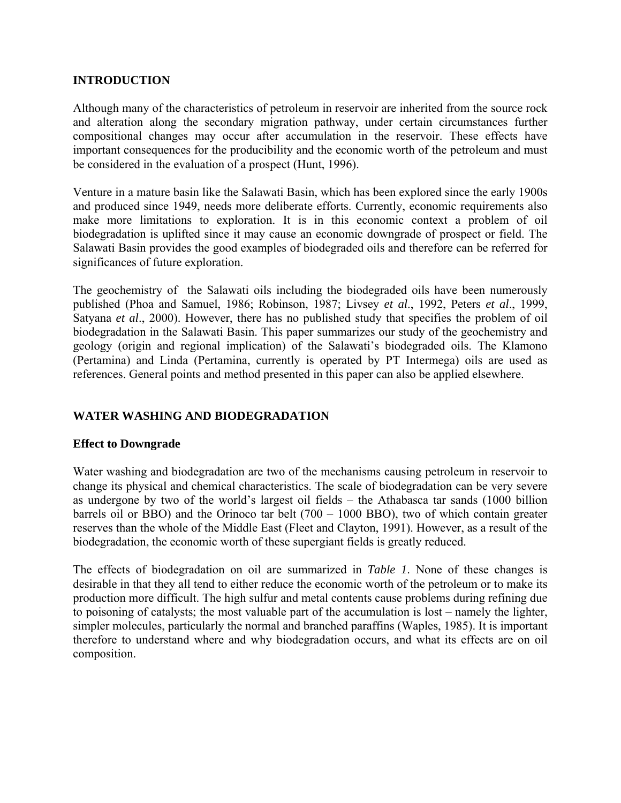### **INTRODUCTION**

Although many of the characteristics of petroleum in reservoir are inherited from the source rock and alteration along the secondary migration pathway, under certain circumstances further compositional changes may occur after accumulation in the reservoir. These effects have important consequences for the producibility and the economic worth of the petroleum and must be considered in the evaluation of a prospect (Hunt, 1996).

Venture in a mature basin like the Salawati Basin, which has been explored since the early 1900s and produced since 1949, needs more deliberate efforts. Currently, economic requirements also make more limitations to exploration. It is in this economic context a problem of oil biodegradation is uplifted since it may cause an economic downgrade of prospect or field. The Salawati Basin provides the good examples of biodegraded oils and therefore can be referred for significances of future exploration.

The geochemistry of the Salawati oils including the biodegraded oils have been numerously published (Phoa and Samuel, 1986; Robinson, 1987; Livsey *et al*., 1992, Peters *et al*., 1999, Satyana *et al*., 2000). However, there has no published study that specifies the problem of oil biodegradation in the Salawati Basin. This paper summarizes our study of the geochemistry and geology (origin and regional implication) of the Salawati's biodegraded oils. The Klamono (Pertamina) and Linda (Pertamina, currently is operated by PT Intermega) oils are used as references. General points and method presented in this paper can also be applied elsewhere.

### **WATER WASHING AND BIODEGRADATION**

#### **Effect to Downgrade**

Water washing and biodegradation are two of the mechanisms causing petroleum in reservoir to change its physical and chemical characteristics. The scale of biodegradation can be very severe as undergone by two of the world's largest oil fields – the Athabasca tar sands (1000 billion barrels oil or BBO) and the Orinoco tar belt (700 – 1000 BBO), two of which contain greater reserves than the whole of the Middle East (Fleet and Clayton, 1991). However, as a result of the biodegradation, the economic worth of these supergiant fields is greatly reduced.

The effects of biodegradation on oil are summarized in *Table 1*. None of these changes is desirable in that they all tend to either reduce the economic worth of the petroleum or to make its production more difficult. The high sulfur and metal contents cause problems during refining due to poisoning of catalysts; the most valuable part of the accumulation is lost – namely the lighter, simpler molecules, particularly the normal and branched paraffins (Waples, 1985). It is important therefore to understand where and why biodegradation occurs, and what its effects are on oil composition.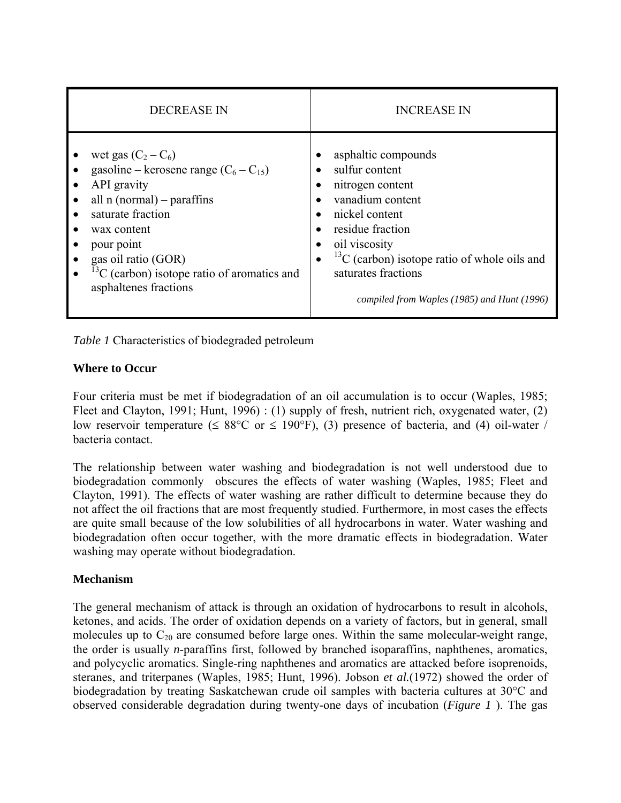| <b>DECREASE IN</b>                                                                                                                                                                                                                                                        | <b>INCREASE IN</b>                                                                                                                                                                                                                                                                                                                |  |  |  |
|---------------------------------------------------------------------------------------------------------------------------------------------------------------------------------------------------------------------------------------------------------------------------|-----------------------------------------------------------------------------------------------------------------------------------------------------------------------------------------------------------------------------------------------------------------------------------------------------------------------------------|--|--|--|
| wet gas $(C_2 - C_6)$<br>gasoline – kerosene range $(C_6 - C_{15})$<br>API gravity<br>all $n$ (normal) – paraffins<br>saturate fraction<br>wax content<br>pour point<br>gas oil ratio (GOR)<br>$^{13}$ C (carbon) isotope ratio of aromatics and<br>asphaltenes fractions | asphaltic compounds<br>$\bullet$<br>sulfur content<br>$\bullet$<br>nitrogen content<br>vanadium content<br>nickel content<br>residue fraction<br>$\bullet$<br>oil viscosity<br>$\bullet$<br>$^{13}$ C (carbon) isotope ratio of whole oils and<br>$\bullet$<br>saturates fractions<br>compiled from Waples (1985) and Hunt (1996) |  |  |  |

*Table 1* Characteristics of biodegraded petroleum

# **Where to Occur**

Four criteria must be met if biodegradation of an oil accumulation is to occur (Waples, 1985; Fleet and Clayton, 1991; Hunt, 1996) : (1) supply of fresh, nutrient rich, oxygenated water, (2) low reservoir temperature ( $\leq 88^{\circ}$ C or  $\leq 190^{\circ}$ F), (3) presence of bacteria, and (4) oil-water / bacteria contact.

The relationship between water washing and biodegradation is not well understood due to biodegradation commonly obscures the effects of water washing (Waples, 1985; Fleet and Clayton, 1991). The effects of water washing are rather difficult to determine because they do not affect the oil fractions that are most frequently studied. Furthermore, in most cases the effects are quite small because of the low solubilities of all hydrocarbons in water. Water washing and biodegradation often occur together, with the more dramatic effects in biodegradation. Water washing may operate without biodegradation.

### **Mechanism**

The general mechanism of attack is through an oxidation of hydrocarbons to result in alcohols, ketones, and acids. The order of oxidation depends on a variety of factors, but in general, small molecules up to  $C_{20}$  are consumed before large ones. Within the same molecular-weight range, the order is usually *n*-paraffins first, followed by branched isoparaffins, naphthenes, aromatics, and polycyclic aromatics. Single-ring naphthenes and aromatics are attacked before isoprenoids, steranes, and triterpanes (Waples, 1985; Hunt, 1996). Jobson *et al.*(1972) showed the order of biodegradation by treating Saskatchewan crude oil samples with bacteria cultures at 30°C and observed considerable degradation during twenty-one days of incubation (*Figure 1* ). The gas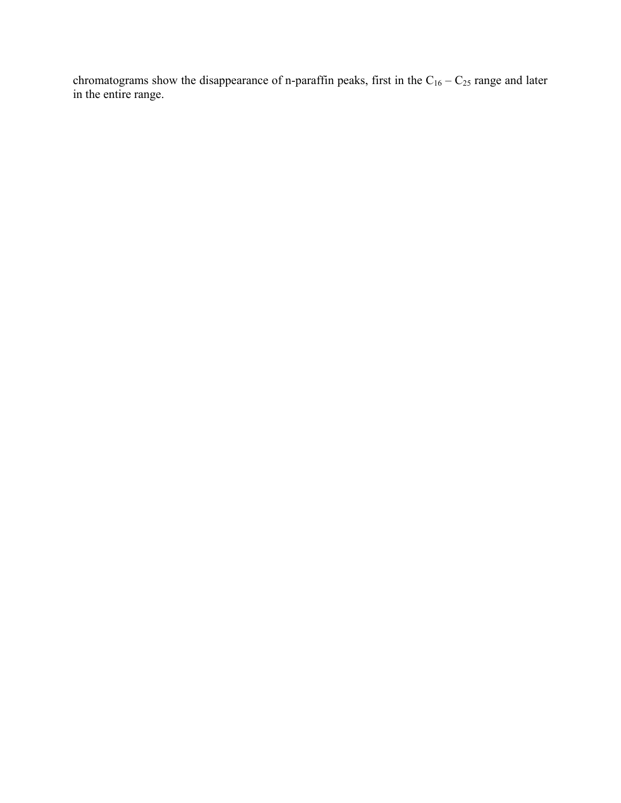chromatograms show the disappearance of n-paraffin peaks, first in the  $C_{16} - C_{25}$  range and later in the entire range.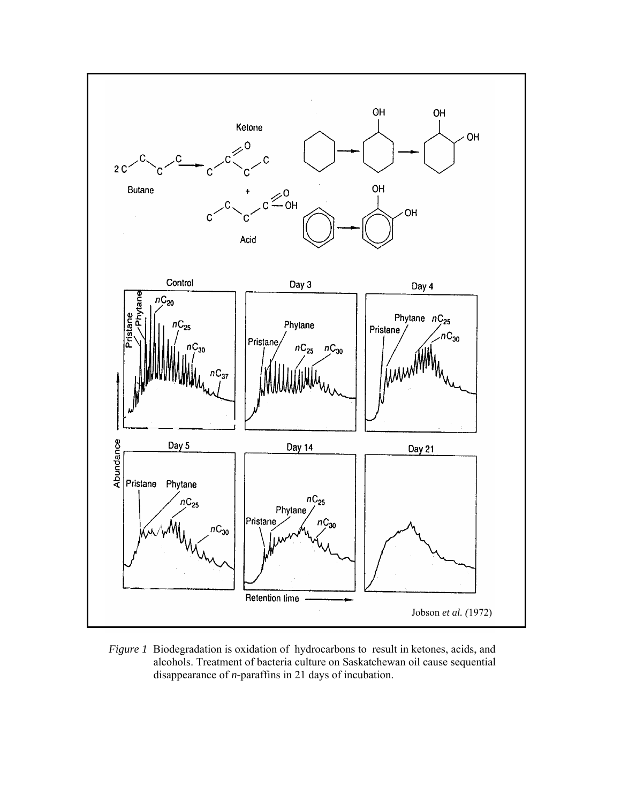

*Figure 1* Biodegradation is oxidation of hydrocarbons to result in ketones, acids, and alcohols. Treatment of bacteria culture on Saskatchewan oil cause sequential disappearance of *n-*paraffins in 21 days of incubation.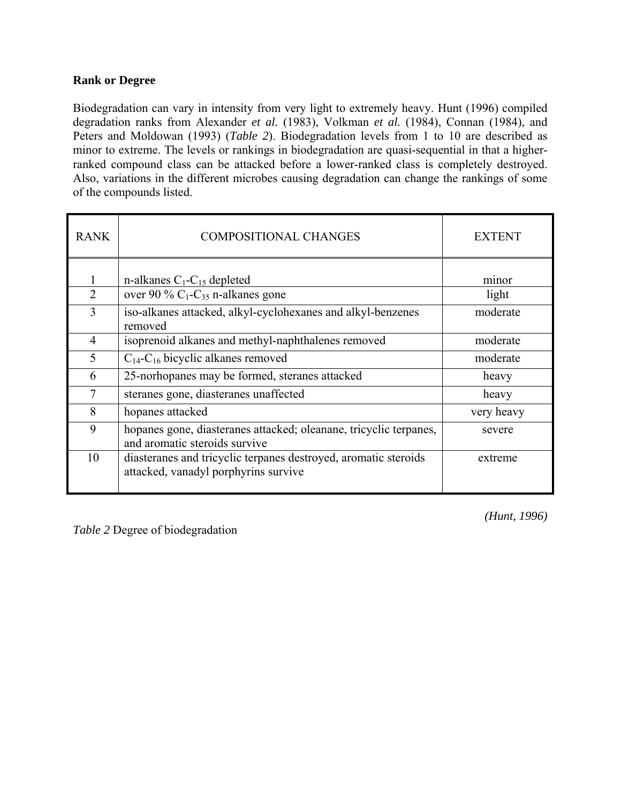### **Rank or Degree**

Biodegradation can vary in intensity from very light to extremely heavy. Hunt (1996) compiled degradation ranks from Alexander *et al.* (1983), Volkman *et al.* (1984), Connan (1984), and Peters and Moldowan (1993) (*Table 2*). Biodegradation levels from 1 to 10 are described as minor to extreme. The levels or rankings in biodegradation are quasi-sequential in that a higherranked compound class can be attacked before a lower-ranked class is completely destroyed. Also, variations in the different microbes causing degradation can change the rankings of some of the compounds listed.

| <b>RANK</b>    | <b>COMPOSITIONAL CHANGES</b>                                                                            | <b>EXTENT</b> |  |
|----------------|---------------------------------------------------------------------------------------------------------|---------------|--|
|                |                                                                                                         |               |  |
|                | n-alkanes $C_1$ - $C_{15}$ depleted                                                                     | minor         |  |
| $\overline{2}$ | over 90 % $C_1$ - $C_{35}$ n-alkanes gone                                                               | light         |  |
| 3              | iso-alkanes attacked, alkyl-cyclohexanes and alkyl-benzenes<br>removed                                  | moderate      |  |
| 4              | isoprenoid alkanes and methyl-naphthalenes removed                                                      | moderate      |  |
| 5              | $C_{14}$ - $C_{16}$ bicyclic alkanes removed                                                            | moderate      |  |
| 6              | 25-norhopanes may be formed, steranes attacked                                                          | heavy         |  |
| $\overline{7}$ | steranes gone, diasteranes unaffected                                                                   | heavy         |  |
| 8              | hopanes attacked                                                                                        | very heavy    |  |
| 9              | hopanes gone, diasteranes attacked; oleanane, tricyclic terpanes,<br>and aromatic steroids survive      | severe        |  |
| 10             | diasteranes and tricyclic terpanes destroyed, aromatic steroids<br>attacked, vanadyl porphyrins survive | extreme       |  |

*Table 2* Degree of biodegradation

*(Hunt, 1996)*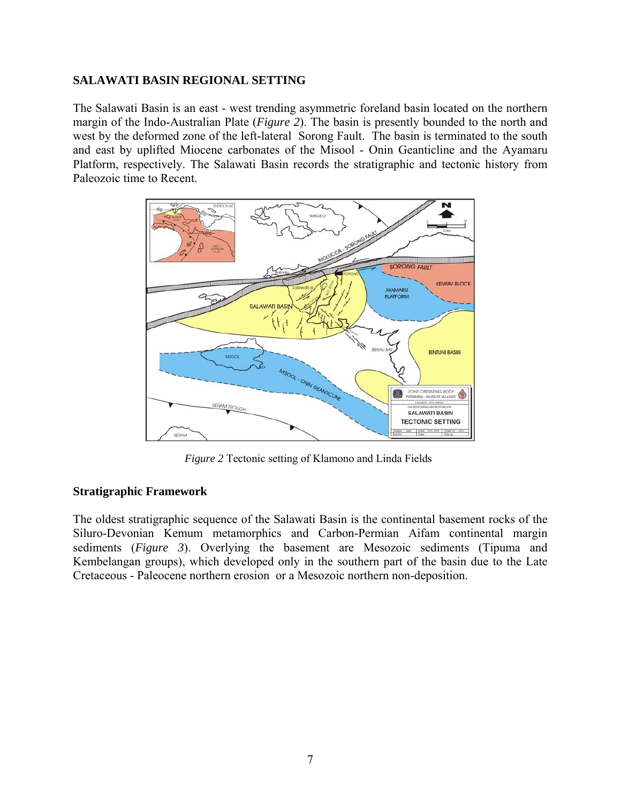#### **SALAWATI BASIN REGIONAL SETTING**

The Salawati Basin is an east - west trending asymmetric foreland basin located on the northern margin of the Indo-Australian Plate (*Figure 2*). The basin is presently bounded to the north and west by the deformed zone of the left-lateral Sorong Fault. The basin is terminated to the south and east by uplifted Miocene carbonates of the Misool - Onin Geanticline and the Ayamaru Platform, respectively. The Salawati Basin records the stratigraphic and tectonic history from Paleozoic time to Recent.



*Figure 2* Tectonic setting of Klamono and Linda Fields

### **Stratigraphic Framework**

The oldest stratigraphic sequence of the Salawati Basin is the continental basement rocks of the Siluro-Devonian Kemum metamorphics and Carbon-Permian Aifam continental margin sediments (*Figure 3*). Overlying the basement are Mesozoic sediments (Tipuma and Kembelangan groups), which developed only in the southern part of the basin due to the Late Cretaceous - Paleocene northern erosion or a Mesozoic northern non-deposition.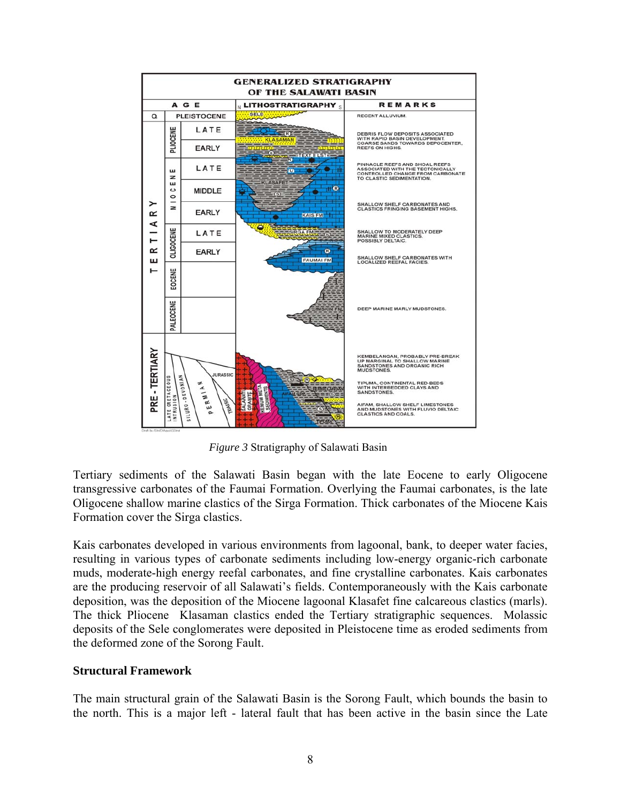

*Figure 3* Stratigraphy of Salawati Basin

Tertiary sediments of the Salawati Basin began with the late Eocene to early Oligocene transgressive carbonates of the Faumai Formation. Overlying the Faumai carbonates, is the late Oligocene shallow marine clastics of the Sirga Formation. Thick carbonates of the Miocene Kais Formation cover the Sirga clastics.

Kais carbonates developed in various environments from lagoonal, bank, to deeper water facies, resulting in various types of carbonate sediments including low-energy organic-rich carbonate muds, moderate-high energy reefal carbonates, and fine crystalline carbonates. Kais carbonates are the producing reservoir of all Salawati's fields. Contemporaneously with the Kais carbonate deposition, was the deposition of the Miocene lagoonal Klasafet fine calcareous clastics (marls). The thick Pliocene Klasaman clastics ended the Tertiary stratigraphic sequences. Molassic deposits of the Sele conglomerates were deposited in Pleistocene time as eroded sediments from the deformed zone of the Sorong Fault.

#### **Structural Framework**

The main structural grain of the Salawati Basin is the Sorong Fault, which bounds the basin to the north. This is a major left - lateral fault that has been active in the basin since the Late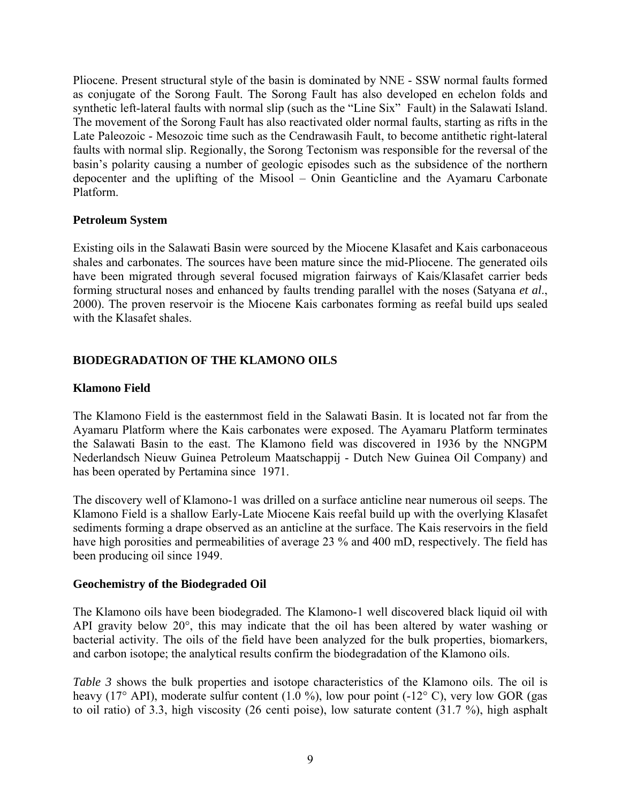Pliocene. Present structural style of the basin is dominated by NNE - SSW normal faults formed as conjugate of the Sorong Fault. The Sorong Fault has also developed en echelon folds and synthetic left-lateral faults with normal slip (such as the "Line Six" Fault) in the Salawati Island. The movement of the Sorong Fault has also reactivated older normal faults, starting as rifts in the Late Paleozoic - Mesozoic time such as the Cendrawasih Fault, to become antithetic right-lateral faults with normal slip. Regionally, the Sorong Tectonism was responsible for the reversal of the basin's polarity causing a number of geologic episodes such as the subsidence of the northern depocenter and the uplifting of the Misool – Onin Geanticline and the Ayamaru Carbonate Platform.

### **Petroleum System**

Existing oils in the Salawati Basin were sourced by the Miocene Klasafet and Kais carbonaceous shales and carbonates. The sources have been mature since the mid-Pliocene. The generated oils have been migrated through several focused migration fairways of Kais/Klasafet carrier beds forming structural noses and enhanced by faults trending parallel with the noses (Satyana *et al*., 2000). The proven reservoir is the Miocene Kais carbonates forming as reefal build ups sealed with the Klasafet shales.

### **BIODEGRADATION OF THE KLAMONO OILS**

### **Klamono Field**

The Klamono Field is the easternmost field in the Salawati Basin. It is located not far from the Ayamaru Platform where the Kais carbonates were exposed. The Ayamaru Platform terminates the Salawati Basin to the east. The Klamono field was discovered in 1936 by the NNGPM Nederlandsch Nieuw Guinea Petroleum Maatschappij - Dutch New Guinea Oil Company) and has been operated by Pertamina since 1971.

The discovery well of Klamono-1 was drilled on a surface anticline near numerous oil seeps. The Klamono Field is a shallow Early-Late Miocene Kais reefal build up with the overlying Klasafet sediments forming a drape observed as an anticline at the surface. The Kais reservoirs in the field have high porosities and permeabilities of average 23 % and 400 mD, respectively. The field has been producing oil since 1949.

#### **Geochemistry of the Biodegraded Oil**

The Klamono oils have been biodegraded. The Klamono-1 well discovered black liquid oil with API gravity below 20°, this may indicate that the oil has been altered by water washing or bacterial activity. The oils of the field have been analyzed for the bulk properties, biomarkers, and carbon isotope; the analytical results confirm the biodegradation of the Klamono oils.

*Table 3* shows the bulk properties and isotope characteristics of the Klamono oils. The oil is heavy (17° API), moderate sulfur content (1.0 %), low pour point (-12° C), very low GOR (gas to oil ratio) of 3.3, high viscosity (26 centi poise), low saturate content (31.7 %), high asphalt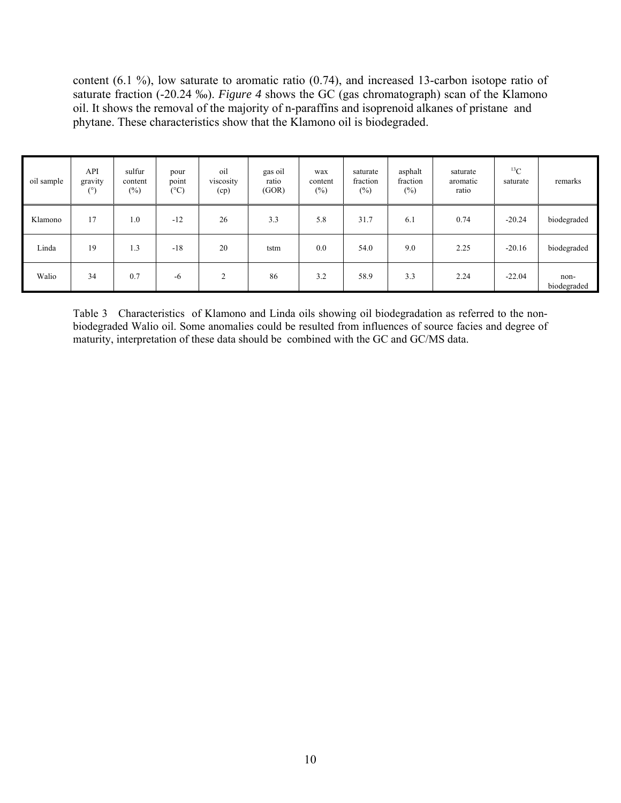content (6.1 %), low saturate to aromatic ratio (0.74), and increased 13-carbon isotope ratio of saturate fraction (-20.24 ‰). *Figure 4* shows the GC (gas chromatograph) scan of the Klamono oil. It shows the removal of the majority of n-paraffins and isoprenoid alkanes of pristane and phytane. These characteristics show that the Klamono oil is biodegraded.

| oil sample | API<br>gravity<br>(°) | sulfur<br>content<br>$(\%)$ | pour<br>point<br>$(^{\circ}C)$ | oil<br>viscosity<br>(cp) | gas oil<br>ratio<br>(GOR) | wax<br>content<br>$(\%)$ | saturate<br>fraction<br>$(\%)$ | asphalt<br>fraction<br>$(\%)$ | saturate<br>aromatic<br>ratio | ${}^{13}C$<br>saturate | remarks             |
|------------|-----------------------|-----------------------------|--------------------------------|--------------------------|---------------------------|--------------------------|--------------------------------|-------------------------------|-------------------------------|------------------------|---------------------|
| Klamono    | 17                    | 1.0                         | $-12$                          | 26                       | 3.3                       | 5.8                      | 31.7                           | 6.1                           | 0.74                          | $-20.24$               | biodegraded         |
| Linda      | 19                    | 1.3                         | $-18$                          | 20                       | tstm                      | 0.0                      | 54.0                           | 9.0                           | 2.25                          | $-20.16$               | biodegraded         |
| Walio      | 34                    | 0.7                         | $-6$                           | $\overline{2}$           | 86                        | 3.2                      | 58.9                           | 3.3                           | 2.24                          | $-22.04$               | non-<br>biodegraded |

Table 3 Characteristics of Klamono and Linda oils showing oil biodegradation as referred to the nonbiodegraded Walio oil. Some anomalies could be resulted from influences of source facies and degree of maturity, interpretation of these data should be combined with the GC and GC/MS data.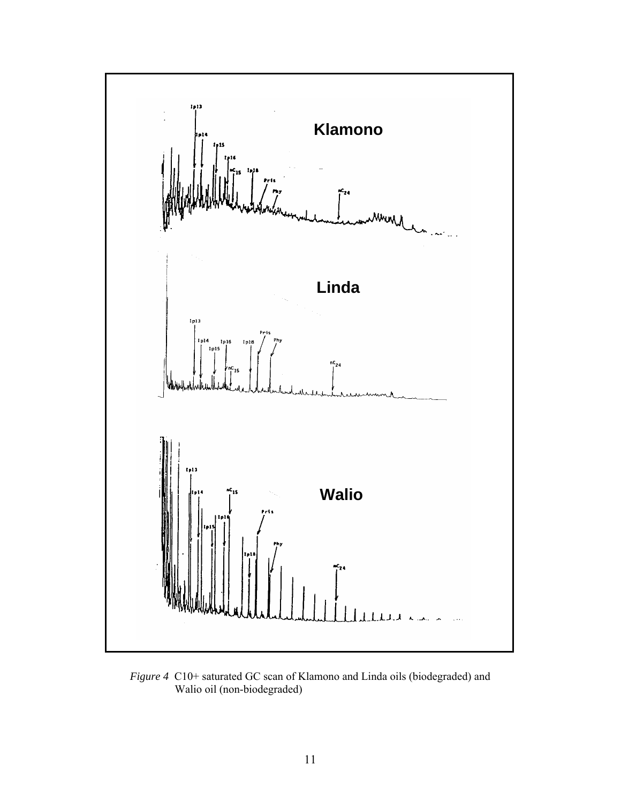

*Figure 4* C10+ saturated GC scan of Klamono and Linda oils (biodegraded) and Walio oil (non-biodegraded)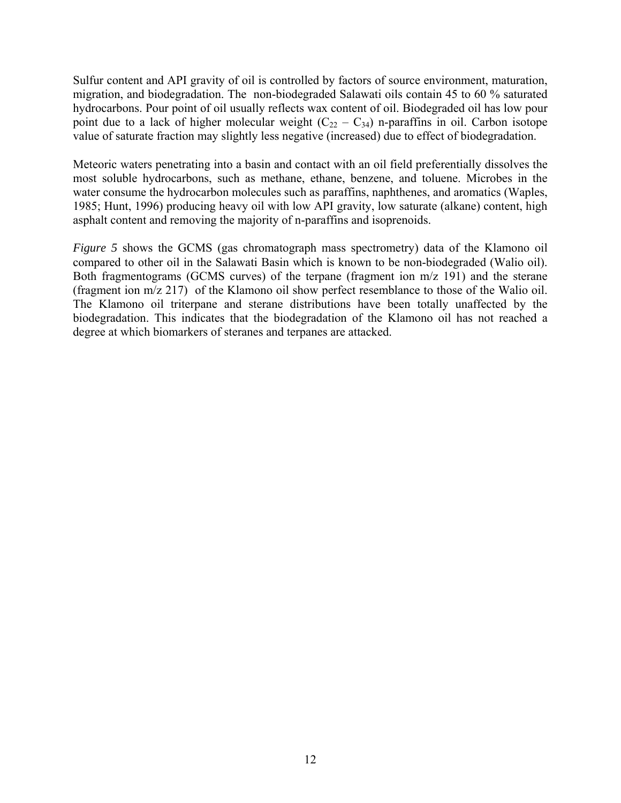Sulfur content and API gravity of oil is controlled by factors of source environment, maturation, migration, and biodegradation. The non-biodegraded Salawati oils contain 45 to 60 % saturated hydrocarbons. Pour point of oil usually reflects wax content of oil. Biodegraded oil has low pour point due to a lack of higher molecular weight  $(C_{22} - C_{34})$  n-paraffins in oil. Carbon isotope value of saturate fraction may slightly less negative (increased) due to effect of biodegradation.

Meteoric waters penetrating into a basin and contact with an oil field preferentially dissolves the most soluble hydrocarbons, such as methane, ethane, benzene, and toluene. Microbes in the water consume the hydrocarbon molecules such as paraffins, naphthenes, and aromatics (Waples, 1985; Hunt, 1996) producing heavy oil with low API gravity, low saturate (alkane) content, high asphalt content and removing the majority of n-paraffins and isoprenoids.

*Figure 5* shows the GCMS (gas chromatograph mass spectrometry) data of the Klamono oil compared to other oil in the Salawati Basin which is known to be non-biodegraded (Walio oil). Both fragmentograms (GCMS curves) of the terpane (fragment ion m/z 191) and the sterane (fragment ion m/z 217) of the Klamono oil show perfect resemblance to those of the Walio oil. The Klamono oil triterpane and sterane distributions have been totally unaffected by the biodegradation. This indicates that the biodegradation of the Klamono oil has not reached a degree at which biomarkers of steranes and terpanes are attacked.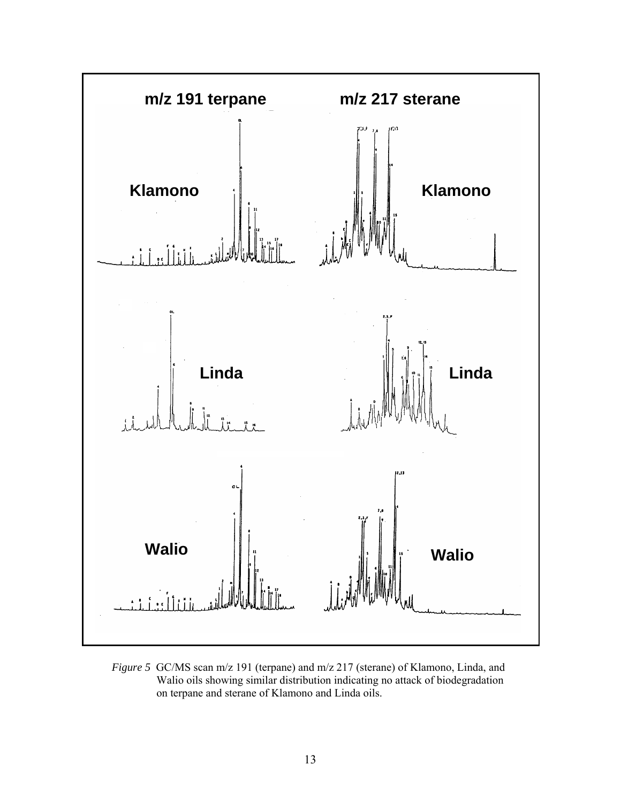

*Figure 5* GC/MS scan m/z 191 (terpane) and m/z 217 (sterane) of Klamono, Linda, and Walio oils showing similar distribution indicating no attack of biodegradation on terpane and sterane of Klamono and Linda oils.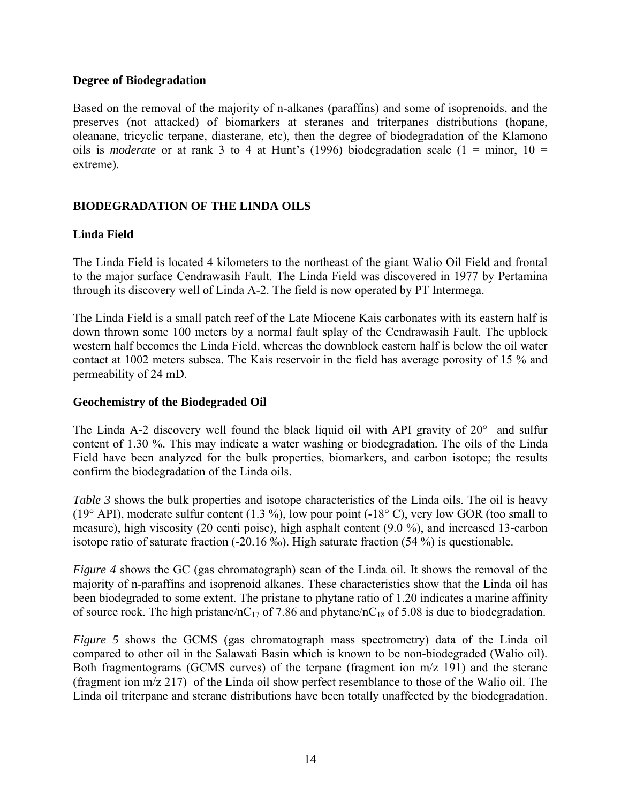#### **Degree of Biodegradation**

Based on the removal of the majority of n-alkanes (paraffins) and some of isoprenoids, and the preserves (not attacked) of biomarkers at steranes and triterpanes distributions (hopane, oleanane, tricyclic terpane, diasterane, etc), then the degree of biodegradation of the Klamono oils is *moderate* or at rank 3 to 4 at Hunt's (1996) biodegradation scale (1 = minor, 10 = extreme).

### **BIODEGRADATION OF THE LINDA OILS**

### **Linda Field**

The Linda Field is located 4 kilometers to the northeast of the giant Walio Oil Field and frontal to the major surface Cendrawasih Fault. The Linda Field was discovered in 1977 by Pertamina through its discovery well of Linda A-2. The field is now operated by PT Intermega.

The Linda Field is a small patch reef of the Late Miocene Kais carbonates with its eastern half is down thrown some 100 meters by a normal fault splay of the Cendrawasih Fault. The upblock western half becomes the Linda Field, whereas the downblock eastern half is below the oil water contact at 1002 meters subsea. The Kais reservoir in the field has average porosity of 15 % and permeability of 24 mD.

#### **Geochemistry of the Biodegraded Oil**

The Linda A-2 discovery well found the black liquid oil with API gravity of  $20^{\circ}$  and sulfur content of 1.30 %. This may indicate a water washing or biodegradation. The oils of the Linda Field have been analyzed for the bulk properties, biomarkers, and carbon isotope; the results confirm the biodegradation of the Linda oils.

*Table 3* shows the bulk properties and isotope characteristics of the Linda oils. The oil is heavy (19 $^{\circ}$  API), moderate sulfur content (1.3 %), low pour point (-18 $^{\circ}$  C), very low GOR (too small to measure), high viscosity (20 centi poise), high asphalt content (9.0 %), and increased 13-carbon isotope ratio of saturate fraction (-20.16 ‰). High saturate fraction (54 %) is questionable.

*Figure 4* shows the GC (gas chromatograph) scan of the Linda oil. It shows the removal of the majority of n-paraffins and isoprenoid alkanes. These characteristics show that the Linda oil has been biodegraded to some extent. The pristane to phytane ratio of 1.20 indicates a marine affinity of source rock. The high pristane/nC<sub>17</sub> of 7.86 and phytane/nC<sub>18</sub> of 5.08 is due to biodegradation.

*Figure 5* shows the GCMS (gas chromatograph mass spectrometry) data of the Linda oil compared to other oil in the Salawati Basin which is known to be non-biodegraded (Walio oil). Both fragmentograms (GCMS curves) of the terpane (fragment ion m/z 191) and the sterane (fragment ion m/z 217) of the Linda oil show perfect resemblance to those of the Walio oil. The Linda oil triterpane and sterane distributions have been totally unaffected by the biodegradation.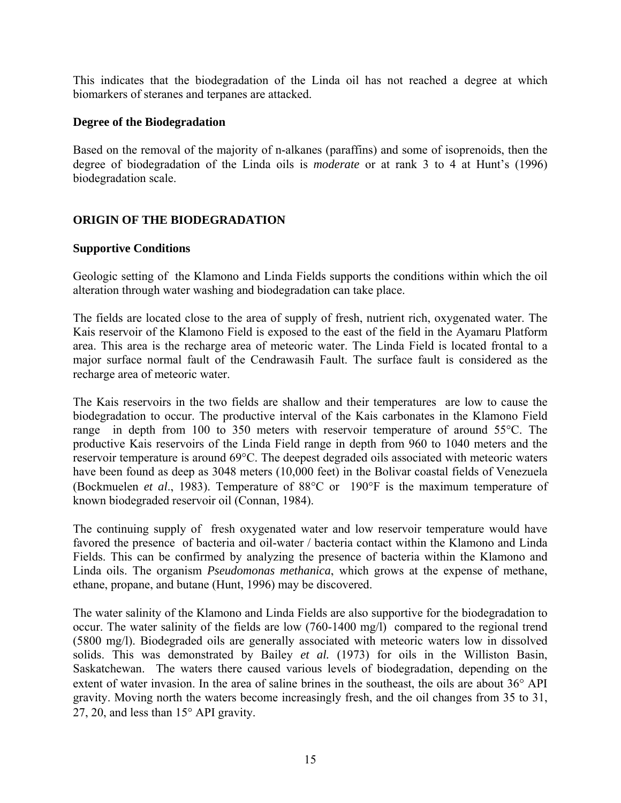This indicates that the biodegradation of the Linda oil has not reached a degree at which biomarkers of steranes and terpanes are attacked.

#### **Degree of the Biodegradation**

Based on the removal of the majority of n-alkanes (paraffins) and some of isoprenoids, then the degree of biodegradation of the Linda oils is *moderate* or at rank 3 to 4 at Hunt's (1996) biodegradation scale.

### **ORIGIN OF THE BIODEGRADATION**

### **Supportive Conditions**

Geologic setting of the Klamono and Linda Fields supports the conditions within which the oil alteration through water washing and biodegradation can take place.

The fields are located close to the area of supply of fresh, nutrient rich, oxygenated water. The Kais reservoir of the Klamono Field is exposed to the east of the field in the Ayamaru Platform area. This area is the recharge area of meteoric water. The Linda Field is located frontal to a major surface normal fault of the Cendrawasih Fault. The surface fault is considered as the recharge area of meteoric water.

The Kais reservoirs in the two fields are shallow and their temperatures are low to cause the biodegradation to occur. The productive interval of the Kais carbonates in the Klamono Field range in depth from 100 to 350 meters with reservoir temperature of around 55°C. The productive Kais reservoirs of the Linda Field range in depth from 960 to 1040 meters and the reservoir temperature is around 69°C. The deepest degraded oils associated with meteoric waters have been found as deep as 3048 meters (10,000 feet) in the Bolivar coastal fields of Venezuela (Bockmuelen *et al*., 1983). Temperature of 88°C or 190°F is the maximum temperature of known biodegraded reservoir oil (Connan, 1984).

The continuing supply of fresh oxygenated water and low reservoir temperature would have favored the presence of bacteria and oil-water / bacteria contact within the Klamono and Linda Fields. This can be confirmed by analyzing the presence of bacteria within the Klamono and Linda oils. The organism *Pseudomonas methanica*, which grows at the expense of methane, ethane, propane, and butane (Hunt, 1996) may be discovered.

The water salinity of the Klamono and Linda Fields are also supportive for the biodegradation to occur. The water salinity of the fields are low (760-1400 mg/l) compared to the regional trend (5800 mg/l). Biodegraded oils are generally associated with meteoric waters low in dissolved solids. This was demonstrated by Bailey *et al.* (1973) for oils in the Williston Basin, Saskatchewan. The waters there caused various levels of biodegradation, depending on the extent of water invasion. In the area of saline brines in the southeast, the oils are about 36° API gravity. Moving north the waters become increasingly fresh, and the oil changes from 35 to 31, 27, 20, and less than 15° API gravity.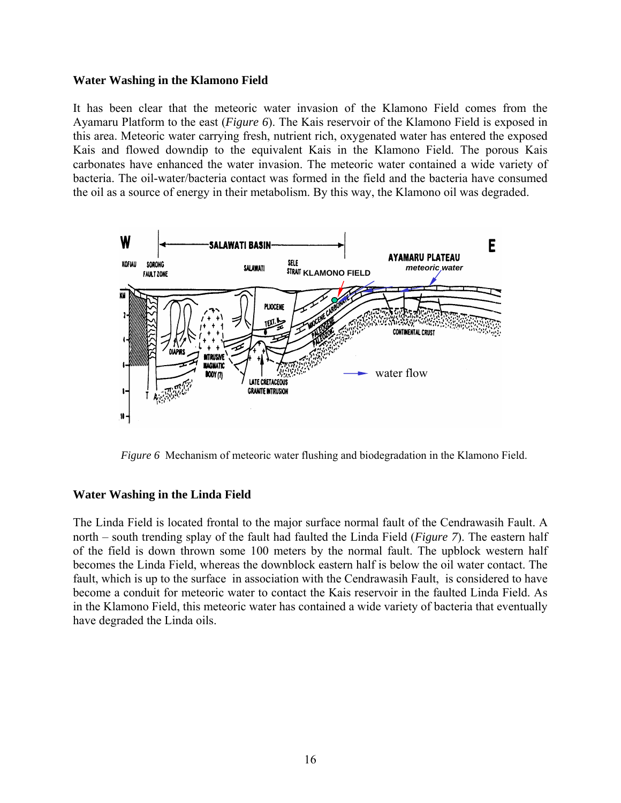#### **Water Washing in the Klamono Field**

It has been clear that the meteoric water invasion of the Klamono Field comes from the Ayamaru Platform to the east (*Figure 6*). The Kais reservoir of the Klamono Field is exposed in this area. Meteoric water carrying fresh, nutrient rich, oxygenated water has entered the exposed Kais and flowed downdip to the equivalent Kais in the Klamono Field. The porous Kais carbonates have enhanced the water invasion. The meteoric water contained a wide variety of bacteria. The oil-water/bacteria contact was formed in the field and the bacteria have consumed the oil as a source of energy in their metabolism. By this way, the Klamono oil was degraded.



*Figure 6* Mechanism of meteoric water flushing and biodegradation in the Klamono Field.

### **Water Washing in the Linda Field**

The Linda Field is located frontal to the major surface normal fault of the Cendrawasih Fault. A north – south trending splay of the fault had faulted the Linda Field (*Figure 7*). The eastern half of the field is down thrown some 100 meters by the normal fault. The upblock western half becomes the Linda Field, whereas the downblock eastern half is below the oil water contact. The fault, which is up to the surface in association with the Cendrawasih Fault, is considered to have become a conduit for meteoric water to contact the Kais reservoir in the faulted Linda Field. As in the Klamono Field, this meteoric water has contained a wide variety of bacteria that eventually have degraded the Linda oils.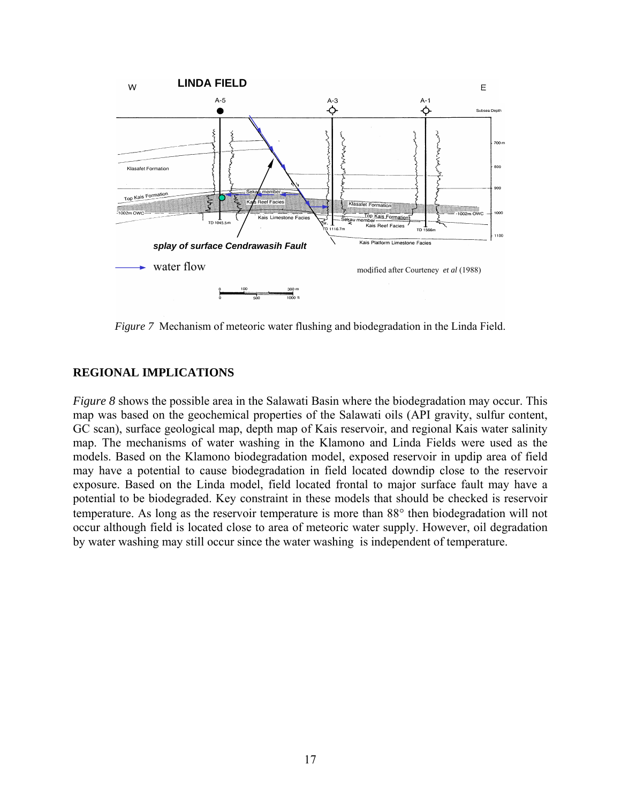

*Figure 7* Mechanism of meteoric water flushing and biodegradation in the Linda Field.

#### **REGIONAL IMPLICATIONS**

*Figure 8* shows the possible area in the Salawati Basin where the biodegradation may occur. This map was based on the geochemical properties of the Salawati oils (API gravity, sulfur content, GC scan), surface geological map, depth map of Kais reservoir, and regional Kais water salinity map. The mechanisms of water washing in the Klamono and Linda Fields were used as the models. Based on the Klamono biodegradation model, exposed reservoir in updip area of field may have a potential to cause biodegradation in field located downdip close to the reservoir exposure. Based on the Linda model, field located frontal to major surface fault may have a potential to be biodegraded. Key constraint in these models that should be checked is reservoir temperature. As long as the reservoir temperature is more than 88° then biodegradation will not occur although field is located close to area of meteoric water supply. However, oil degradation by water washing may still occur since the water washing is independent of temperature.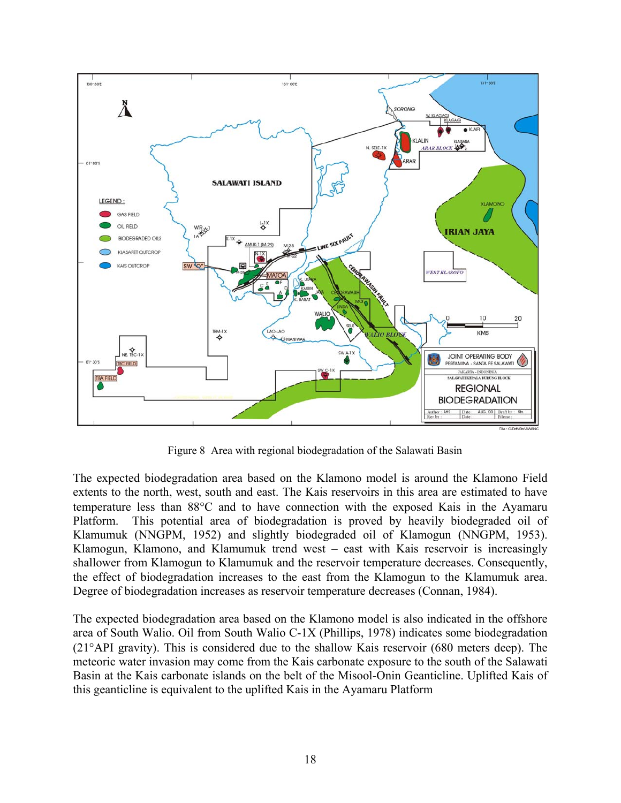

Figure 8 Area with regional biodegradation of the Salawati Basin

The expected biodegradation area based on the Klamono model is around the Klamono Field extents to the north, west, south and east. The Kais reservoirs in this area are estimated to have temperature less than 88°C and to have connection with the exposed Kais in the Ayamaru Platform. This potential area of biodegradation is proved by heavily biodegraded oil of Klamumuk (NNGPM, 1952) and slightly biodegraded oil of Klamogun (NNGPM, 1953). Klamogun, Klamono, and Klamumuk trend west – east with Kais reservoir is increasingly shallower from Klamogun to Klamumuk and the reservoir temperature decreases. Consequently, the effect of biodegradation increases to the east from the Klamogun to the Klamumuk area. Degree of biodegradation increases as reservoir temperature decreases (Connan, 1984).

The expected biodegradation area based on the Klamono model is also indicated in the offshore area of South Walio. Oil from South Walio C-1X (Phillips, 1978) indicates some biodegradation (21°API gravity). This is considered due to the shallow Kais reservoir (680 meters deep). The meteoric water invasion may come from the Kais carbonate exposure to the south of the Salawati Basin at the Kais carbonate islands on the belt of the Misool-Onin Geanticline. Uplifted Kais of this geanticline is equivalent to the uplifted Kais in the Ayamaru Platform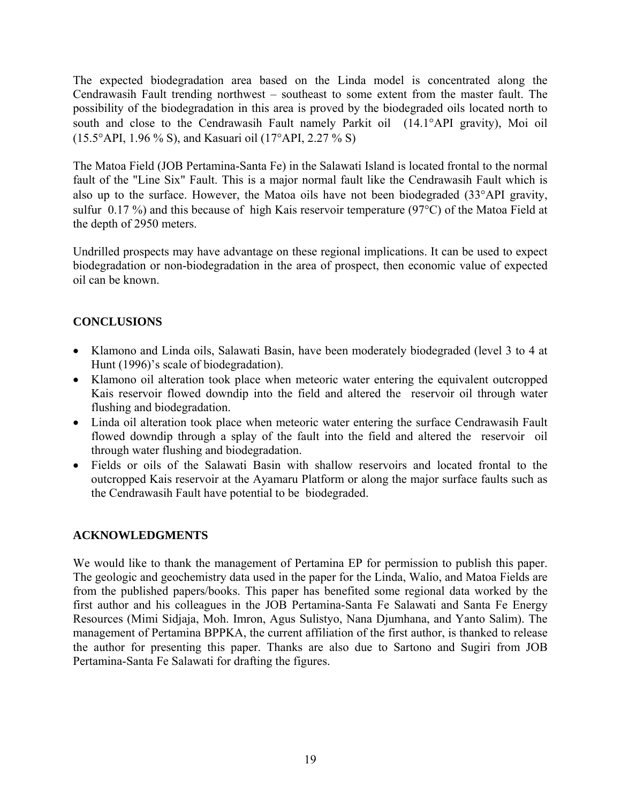The expected biodegradation area based on the Linda model is concentrated along the Cendrawasih Fault trending northwest – southeast to some extent from the master fault. The possibility of the biodegradation in this area is proved by the biodegraded oils located north to south and close to the Cendrawasih Fault namely Parkit oil (14.1°API gravity), Moi oil (15.5°API, 1.96 % S), and Kasuari oil (17°API, 2.27 % S)

The Matoa Field (JOB Pertamina-Santa Fe) in the Salawati Island is located frontal to the normal fault of the "Line Six" Fault. This is a major normal fault like the Cendrawasih Fault which is also up to the surface. However, the Matoa oils have not been biodegraded (33°API gravity, sulfur 0.17 %) and this because of high Kais reservoir temperature (97°C) of the Matoa Field at the depth of 2950 meters.

Undrilled prospects may have advantage on these regional implications. It can be used to expect biodegradation or non-biodegradation in the area of prospect, then economic value of expected oil can be known.

# **CONCLUSIONS**

- Klamono and Linda oils, Salawati Basin, have been moderately biodegraded (level 3 to 4 at Hunt (1996)'s scale of biodegradation).
- Klamono oil alteration took place when meteoric water entering the equivalent outcropped Kais reservoir flowed downdip into the field and altered the reservoir oil through water flushing and biodegradation.
- Linda oil alteration took place when meteoric water entering the surface Cendrawasih Fault flowed downdip through a splay of the fault into the field and altered the reservoir oil through water flushing and biodegradation.
- Fields or oils of the Salawati Basin with shallow reservoirs and located frontal to the outcropped Kais reservoir at the Ayamaru Platform or along the major surface faults such as the Cendrawasih Fault have potential to be biodegraded.

# **ACKNOWLEDGMENTS**

We would like to thank the management of Pertamina EP for permission to publish this paper. The geologic and geochemistry data used in the paper for the Linda, Walio, and Matoa Fields are from the published papers/books. This paper has benefited some regional data worked by the first author and his colleagues in the JOB Pertamina-Santa Fe Salawati and Santa Fe Energy Resources (Mimi Sidjaja, Moh. Imron, Agus Sulistyo, Nana Djumhana, and Yanto Salim). The management of Pertamina BPPKA, the current affiliation of the first author, is thanked to release the author for presenting this paper. Thanks are also due to Sartono and Sugiri from JOB Pertamina-Santa Fe Salawati for drafting the figures.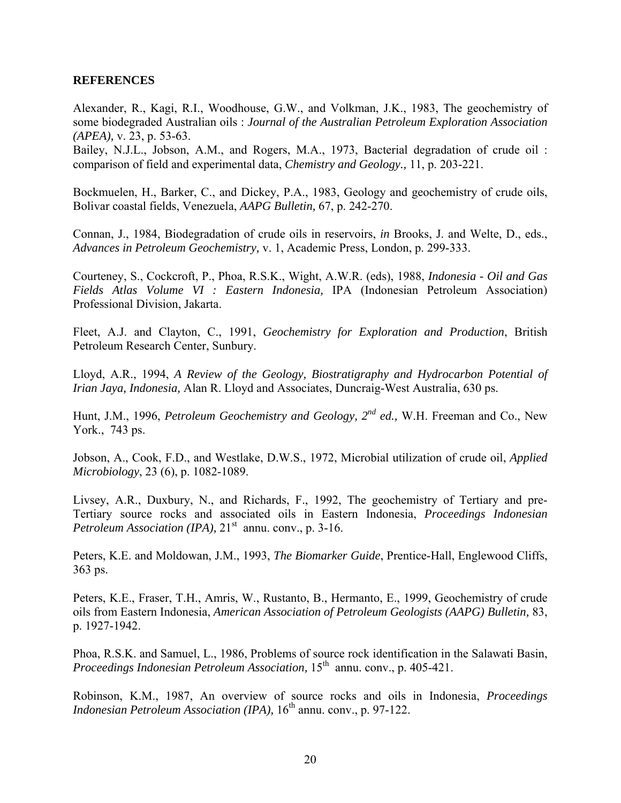#### **REFERENCES**

Alexander, R., Kagi, R.I., Woodhouse, G.W., and Volkman, J.K., 1983, The geochemistry of some biodegraded Australian oils : *Journal of the Australian Petroleum Exploration Association (APEA),* v. 23, p. 53-63.

Bailey, N.J.L., Jobson, A.M., and Rogers, M.A., 1973, Bacterial degradation of crude oil : comparison of field and experimental data, *Chemistry and Geology.,* 11, p. 203-221.

Bockmuelen, H., Barker, C., and Dickey, P.A., 1983, Geology and geochemistry of crude oils, Bolivar coastal fields, Venezuela, *AAPG Bulletin,* 67, p. 242-270.

Connan, J., 1984, Biodegradation of crude oils in reservoirs, *in* Brooks, J. and Welte, D., eds., *Advances in Petroleum Geochemistry,* v. 1, Academic Press, London, p. 299-333.

Courteney, S., Cockcroft, P., Phoa, R.S.K., Wight, A.W.R. (eds), 1988, *Indonesia - Oil and Gas Fields Atlas Volume VI : Eastern Indonesia,* IPA (Indonesian Petroleum Association) Professional Division, Jakarta.

Fleet, A.J. and Clayton, C., 1991, *Geochemistry for Exploration and Production*, British Petroleum Research Center, Sunbury.

Lloyd, A.R., 1994, *A Review of the Geology, Biostratigraphy and Hydrocarbon Potential of Irian Jaya, Indonesia,* Alan R. Lloyd and Associates, Duncraig-West Australia, 630 ps.

Hunt, J.M., 1996, *Petroleum Geochemistry and Geology, 2nd ed.,* W.H. Freeman and Co., New York., 743 ps.

Jobson, A., Cook, F.D., and Westlake, D.W.S., 1972, Microbial utilization of crude oil, *Applied Microbiology*, 23 (6), p. 1082-1089.

Livsey, A.R., Duxbury, N., and Richards, F., 1992, The geochemistry of Tertiary and pre-Tertiary source rocks and associated oils in Eastern Indonesia, *Proceedings Indonesian Petroleum Association (IPA),*  $21^{st}$  annu. conv., p. 3-16.

Peters, K.E. and Moldowan, J.M., 1993, *The Biomarker Guide*, Prentice-Hall, Englewood Cliffs, 363 ps.

Peters, K.E., Fraser, T.H., Amris, W., Rustanto, B., Hermanto, E., 1999, Geochemistry of crude oils from Eastern Indonesia, *American Association of Petroleum Geologists (AAPG) Bulletin,* 83, p. 1927-1942.

Phoa, R.S.K. and Samuel, L., 1986, Problems of source rock identification in the Salawati Basin, *Proceedings Indonesian Petroleum Association,* 15<sup>th</sup> annu. conv., p. 405-421.

Robinson, K.M., 1987, An overview of source rocks and oils in Indonesia, *Proceedings Indonesian Petroleum Association (IPA),*  $16<sup>th</sup>$  annu. conv., p. 97-122.